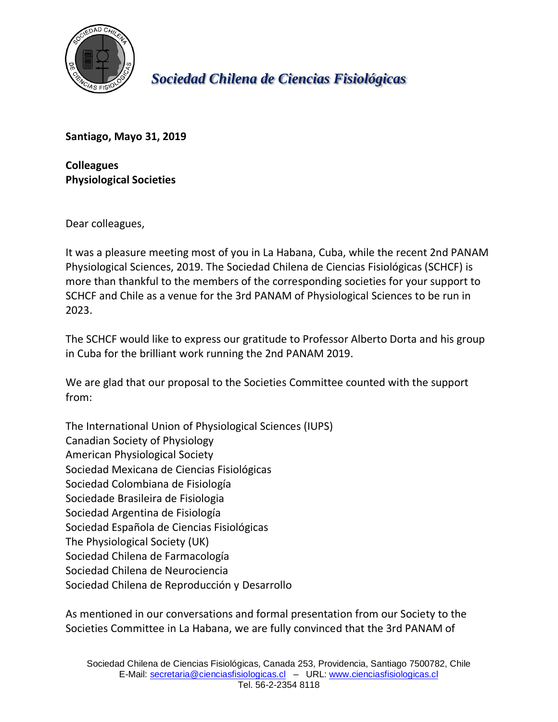

*Sociedad Chilena de Ciencias Fisiológicas*

**Santiago, Mayo 31, 2019**

**Colleagues Physiological Societies**

Dear colleagues,

It was a pleasure meeting most of you in La Habana, Cuba, while the recent 2nd PANAM Physiological Sciences, 2019. The Sociedad Chilena de Ciencias Fisiológicas (SCHCF) is more than thankful to the members of the corresponding societies for your support to SCHCF and Chile as a venue for the 3rd PANAM of Physiological Sciences to be run in 2023.

The SCHCF would like to express our gratitude to Professor Alberto Dorta and his group in Cuba for the brilliant work running the 2nd PANAM 2019.

We are glad that our proposal to the Societies Committee counted with the support from:

The International Union of Physiological Sciences (IUPS) Canadian Society of Physiology American Physiological Society Sociedad Mexicana de Ciencias Fisiológicas Sociedad Colombiana de Fisiología Sociedade Brasileira de Fisiologia Sociedad Argentina de Fisiología Sociedad Española de Ciencias Fisiológicas The Physiological Society (UK) Sociedad Chilena de Farmacología Sociedad Chilena de Neurociencia Sociedad Chilena de Reproducción y Desarrollo

As mentioned in our conversations and formal presentation from our Society to the Societies Committee in La Habana, we are fully convinced that the 3rd PANAM of